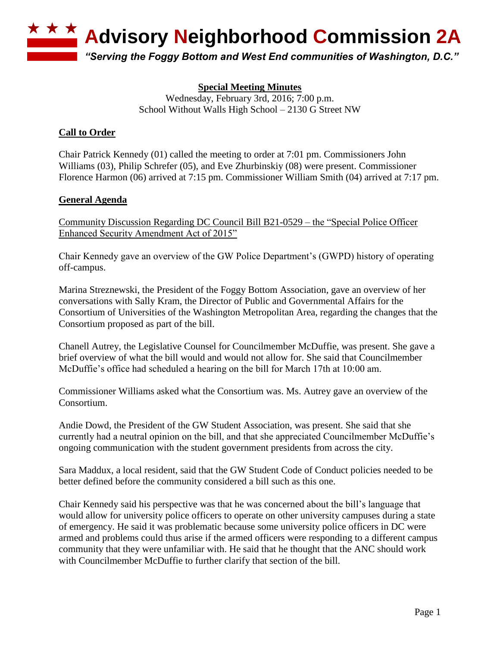

**Special Meeting Minutes** Wednesday, February 3rd, 2016; 7:00 p.m. School Without Walls High School – 2130 G Street NW

## **Call to Order**

Chair Patrick Kennedy (01) called the meeting to order at 7:01 pm. Commissioners John Williams (03), Philip Schrefer (05), and Eve Zhurbinskiy (08) were present. Commissioner Florence Harmon (06) arrived at 7:15 pm. Commissioner William Smith (04) arrived at 7:17 pm.

## **General Agenda**

Community Discussion Regarding DC Council Bill B21-0529 – the "Special Police Officer Enhanced Security Amendment Act of 2015"

Chair Kennedy gave an overview of the GW Police Department's (GWPD) history of operating off-campus.

Marina Streznewski, the President of the Foggy Bottom Association, gave an overview of her conversations with Sally Kram, the Director of Public and Governmental Affairs for the Consortium of Universities of the Washington Metropolitan Area, regarding the changes that the Consortium proposed as part of the bill.

Chanell Autrey, the Legislative Counsel for Councilmember McDuffie, was present. She gave a brief overview of what the bill would and would not allow for. She said that Councilmember McDuffie's office had scheduled a hearing on the bill for March 17th at 10:00 am.

Commissioner Williams asked what the Consortium was. Ms. Autrey gave an overview of the Consortium.

Andie Dowd, the President of the GW Student Association, was present. She said that she currently had a neutral opinion on the bill, and that she appreciated Councilmember McDuffie's ongoing communication with the student government presidents from across the city.

Sara Maddux, a local resident, said that the GW Student Code of Conduct policies needed to be better defined before the community considered a bill such as this one.

Chair Kennedy said his perspective was that he was concerned about the bill's language that would allow for university police officers to operate on other university campuses during a state of emergency. He said it was problematic because some university police officers in DC were armed and problems could thus arise if the armed officers were responding to a different campus community that they were unfamiliar with. He said that he thought that the ANC should work with Councilmember McDuffie to further clarify that section of the bill.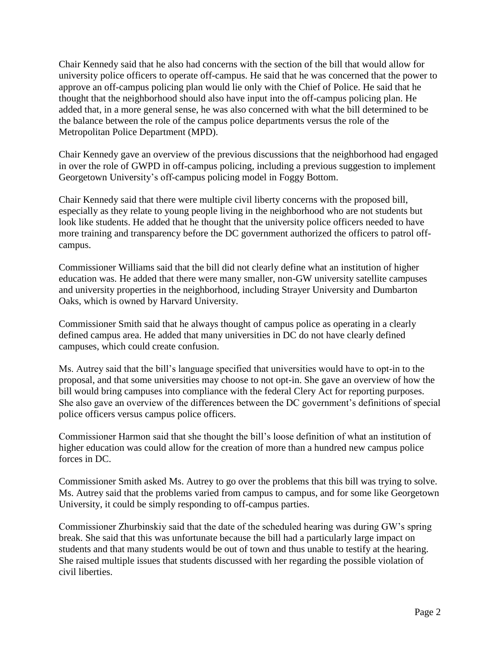Chair Kennedy said that he also had concerns with the section of the bill that would allow for university police officers to operate off-campus. He said that he was concerned that the power to approve an off-campus policing plan would lie only with the Chief of Police. He said that he thought that the neighborhood should also have input into the off-campus policing plan. He added that, in a more general sense, he was also concerned with what the bill determined to be the balance between the role of the campus police departments versus the role of the Metropolitan Police Department (MPD).

Chair Kennedy gave an overview of the previous discussions that the neighborhood had engaged in over the role of GWPD in off-campus policing, including a previous suggestion to implement Georgetown University's off-campus policing model in Foggy Bottom.

Chair Kennedy said that there were multiple civil liberty concerns with the proposed bill, especially as they relate to young people living in the neighborhood who are not students but look like students. He added that he thought that the university police officers needed to have more training and transparency before the DC government authorized the officers to patrol offcampus.

Commissioner Williams said that the bill did not clearly define what an institution of higher education was. He added that there were many smaller, non-GW university satellite campuses and university properties in the neighborhood, including Strayer University and Dumbarton Oaks, which is owned by Harvard University.

Commissioner Smith said that he always thought of campus police as operating in a clearly defined campus area. He added that many universities in DC do not have clearly defined campuses, which could create confusion.

Ms. Autrey said that the bill's language specified that universities would have to opt-in to the proposal, and that some universities may choose to not opt-in. She gave an overview of how the bill would bring campuses into compliance with the federal Clery Act for reporting purposes. She also gave an overview of the differences between the DC government's definitions of special police officers versus campus police officers.

Commissioner Harmon said that she thought the bill's loose definition of what an institution of higher education was could allow for the creation of more than a hundred new campus police forces in DC.

Commissioner Smith asked Ms. Autrey to go over the problems that this bill was trying to solve. Ms. Autrey said that the problems varied from campus to campus, and for some like Georgetown University, it could be simply responding to off-campus parties.

Commissioner Zhurbinskiy said that the date of the scheduled hearing was during GW's spring break. She said that this was unfortunate because the bill had a particularly large impact on students and that many students would be out of town and thus unable to testify at the hearing. She raised multiple issues that students discussed with her regarding the possible violation of civil liberties.